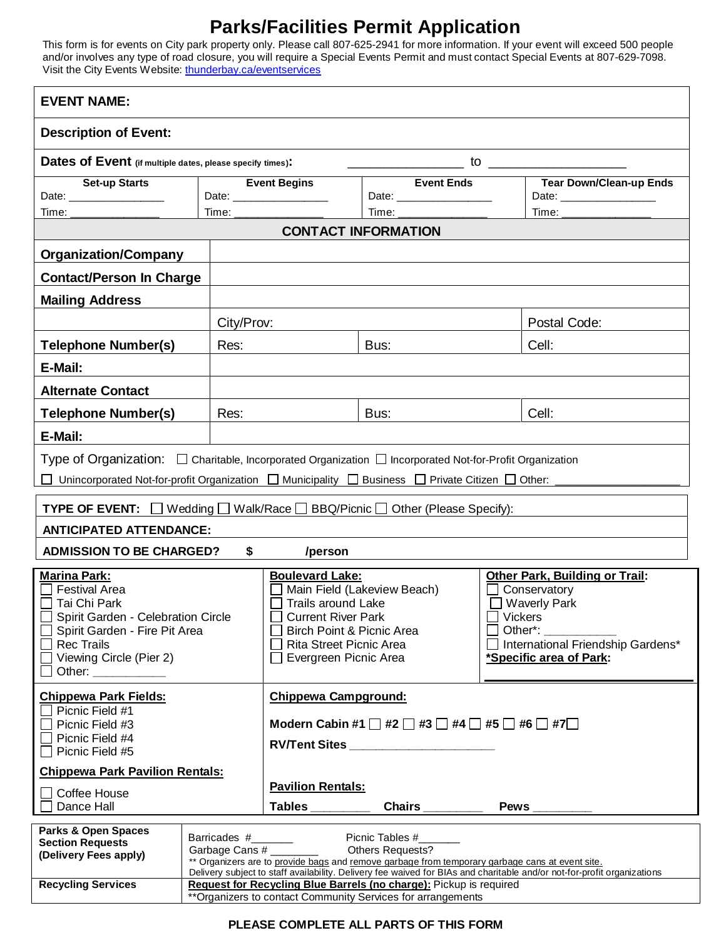# **Parks/Facilities Permit Application**

This form is for events on City park property only. Please call 807-625-2941 for more information. If your event will exceed 500 people and/or involves any type of road closure, you will require a Special Events Permit and must contact Special Events at 807-629-7098. Visit the City Events Website: [thunderbay.ca/eventservices](http://www.thunderbay.ca/eventservices)

| <b>EVENT NAME:</b>                                                                                                                                                                                                                                                                                                                                                                                                   |            |                                                                                                                                                                                                         |                                                                                                                                                                                                                                                                 |                                                                                                                                                                           |  |  |
|----------------------------------------------------------------------------------------------------------------------------------------------------------------------------------------------------------------------------------------------------------------------------------------------------------------------------------------------------------------------------------------------------------------------|------------|---------------------------------------------------------------------------------------------------------------------------------------------------------------------------------------------------------|-----------------------------------------------------------------------------------------------------------------------------------------------------------------------------------------------------------------------------------------------------------------|---------------------------------------------------------------------------------------------------------------------------------------------------------------------------|--|--|
| <b>Description of Event:</b>                                                                                                                                                                                                                                                                                                                                                                                         |            |                                                                                                                                                                                                         |                                                                                                                                                                                                                                                                 |                                                                                                                                                                           |  |  |
| Dates of Event (if multiple dates, please specify times):                                                                                                                                                                                                                                                                                                                                                            |            |                                                                                                                                                                                                         |                                                                                                                                                                                                                                                                 |                                                                                                                                                                           |  |  |
| <b>Set-up Starts</b><br>Date: __________________                                                                                                                                                                                                                                                                                                                                                                     | Time:      | <b>Event Begins</b>                                                                                                                                                                                     | <b>Event Ends</b>                                                                                                                                                                                                                                               | <b>Tear Down/Clean-up Ends</b>                                                                                                                                            |  |  |
| Time:<br>Time:<br>Time:<br><b>CONTACT INFORMATION</b>                                                                                                                                                                                                                                                                                                                                                                |            |                                                                                                                                                                                                         |                                                                                                                                                                                                                                                                 |                                                                                                                                                                           |  |  |
| <b>Organization/Company</b>                                                                                                                                                                                                                                                                                                                                                                                          |            |                                                                                                                                                                                                         |                                                                                                                                                                                                                                                                 |                                                                                                                                                                           |  |  |
| <b>Contact/Person In Charge</b>                                                                                                                                                                                                                                                                                                                                                                                      |            |                                                                                                                                                                                                         |                                                                                                                                                                                                                                                                 |                                                                                                                                                                           |  |  |
| <b>Mailing Address</b>                                                                                                                                                                                                                                                                                                                                                                                               |            |                                                                                                                                                                                                         |                                                                                                                                                                                                                                                                 |                                                                                                                                                                           |  |  |
|                                                                                                                                                                                                                                                                                                                                                                                                                      | City/Prov: |                                                                                                                                                                                                         |                                                                                                                                                                                                                                                                 | Postal Code:                                                                                                                                                              |  |  |
| <b>Telephone Number(s)</b>                                                                                                                                                                                                                                                                                                                                                                                           | Res:       |                                                                                                                                                                                                         | Bus:                                                                                                                                                                                                                                                            | Cell:                                                                                                                                                                     |  |  |
| E-Mail:                                                                                                                                                                                                                                                                                                                                                                                                              |            |                                                                                                                                                                                                         |                                                                                                                                                                                                                                                                 |                                                                                                                                                                           |  |  |
| <b>Alternate Contact</b>                                                                                                                                                                                                                                                                                                                                                                                             |            |                                                                                                                                                                                                         |                                                                                                                                                                                                                                                                 |                                                                                                                                                                           |  |  |
| <b>Telephone Number(s)</b>                                                                                                                                                                                                                                                                                                                                                                                           | Res:       |                                                                                                                                                                                                         | Bus:                                                                                                                                                                                                                                                            | Cell:                                                                                                                                                                     |  |  |
| E-Mail:                                                                                                                                                                                                                                                                                                                                                                                                              |            |                                                                                                                                                                                                         |                                                                                                                                                                                                                                                                 |                                                                                                                                                                           |  |  |
| Type of Organization: $\Box$ Charitable, Incorporated Organization $\Box$ Incorporated Not-for-Profit Organization                                                                                                                                                                                                                                                                                                   |            |                                                                                                                                                                                                         |                                                                                                                                                                                                                                                                 |                                                                                                                                                                           |  |  |
| Unincorporated Not-for-profit Organization □ Municipality □ Business □ Private Citizen □ Other: ____                                                                                                                                                                                                                                                                                                                 |            |                                                                                                                                                                                                         |                                                                                                                                                                                                                                                                 |                                                                                                                                                                           |  |  |
| TYPE OF EVENT: $\Box$                                                                                                                                                                                                                                                                                                                                                                                                |            |                                                                                                                                                                                                         | Wedding $\Box$ Walk/Race $\Box$ BBQ/Picnic $\Box$ Other (Please Specify):                                                                                                                                                                                       |                                                                                                                                                                           |  |  |
| <b>ANTICIPATED ATTENDANCE:</b>                                                                                                                                                                                                                                                                                                                                                                                       |            |                                                                                                                                                                                                         |                                                                                                                                                                                                                                                                 |                                                                                                                                                                           |  |  |
| <b>ADMISSION TO BE CHARGED?</b>                                                                                                                                                                                                                                                                                                                                                                                      | \$         | /person                                                                                                                                                                                                 |                                                                                                                                                                                                                                                                 |                                                                                                                                                                           |  |  |
| <b>Marina Park:</b><br><b>Festival Area</b><br>Tai Chi Park<br>Spirit Garden - Celebration Circle<br>Spirit Garden - Fire Pit Area<br><b>Rec Trails</b><br>Viewing Circle (Pier 2)<br>Other: and the control of the control of the control of the control of the control of the control of the control of the control of the control of the control of the control of the control of the control of the control of t |            | <b>Boulevard Lake:</b><br>Main Field (Lakeview Beach)<br><b>Trails around Lake</b><br><b>Current River Park</b><br>Birch Point & Picnic Area<br><b>Rita Street Picnic Area</b><br>Evergreen Picnic Area |                                                                                                                                                                                                                                                                 | <b>Other Park, Building or Trail:</b><br>Conservatory<br><b>Waverly Park</b><br>$\Box$ Vickers<br>Other*:<br>International Friendship Gardens*<br>*Specific area of Park: |  |  |
| <b>Chippewa Park Fields:</b><br>Picnic Field #1<br>Picnic Field #3<br>Picnic Field #4<br>Picnic Field #5                                                                                                                                                                                                                                                                                                             |            | <b>Chippewa Campground:</b><br>Modern Cabin #1 $\Box$ #2 $\Box$ #3 $\Box$ #4 $\Box$ #5 $\Box$ #6 $\Box$ #7 $\Box$<br>RV/Tent Sites                                                                      |                                                                                                                                                                                                                                                                 |                                                                                                                                                                           |  |  |
| <b>Chippewa Park Pavilion Rentals:</b>                                                                                                                                                                                                                                                                                                                                                                               |            | <b>Pavilion Rentals:</b>                                                                                                                                                                                |                                                                                                                                                                                                                                                                 |                                                                                                                                                                           |  |  |
| □ Coffee House<br>Dance Hall                                                                                                                                                                                                                                                                                                                                                                                         |            | <b>Tables</b>                                                                                                                                                                                           | Chairs $\frac{1}{2}$                                                                                                                                                                                                                                            | Pews $\_\_$                                                                                                                                                               |  |  |
| <b>Parks &amp; Open Spaces</b><br><b>Section Requests</b><br>(Delivery Fees apply)<br><b>Recycling Services</b>                                                                                                                                                                                                                                                                                                      |            |                                                                                                                                                                                                         | Picnic Tables #_______<br>** Organizers are to provide bags and remove garbage from temporary garbage cans at event site.<br>Request for Recycling Blue Barrels (no charge): Pickup is required<br>** Organizers to contact Community Services for arrangements | Delivery subject to staff availability. Delivery fee waived for BIAs and charitable and/or not-for-profit organizations                                                   |  |  |

#### **PLEASE COMPLETE ALL PARTS OF THIS FORM**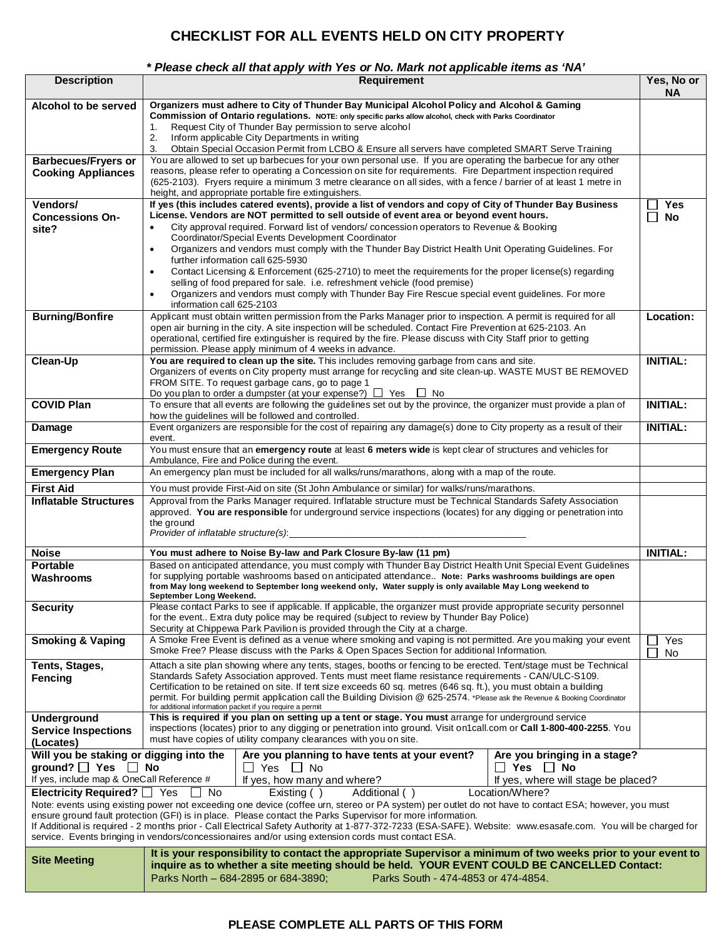## **CHECKLIST FOR ALL EVENTS HELD ON CITY PROPERTY**

#### *\* Please check all that apply with Yes or No. Mark not applicable items as 'NA'*

| <b>Description</b>                                                                                                                                                                                                                                                                                                                                                                                                                                                                                                                                                                                                                                                                                                                                                                                                                                                                                                                                                                | <b>Requirement</b><br>Yes, No or                                                                                                                                                                                                                                                                                                                                                                                                                                                                                                             |                 |  |  |
|-----------------------------------------------------------------------------------------------------------------------------------------------------------------------------------------------------------------------------------------------------------------------------------------------------------------------------------------------------------------------------------------------------------------------------------------------------------------------------------------------------------------------------------------------------------------------------------------------------------------------------------------------------------------------------------------------------------------------------------------------------------------------------------------------------------------------------------------------------------------------------------------------------------------------------------------------------------------------------------|----------------------------------------------------------------------------------------------------------------------------------------------------------------------------------------------------------------------------------------------------------------------------------------------------------------------------------------------------------------------------------------------------------------------------------------------------------------------------------------------------------------------------------------------|-----------------|--|--|
| Alcohol to be served                                                                                                                                                                                                                                                                                                                                                                                                                                                                                                                                                                                                                                                                                                                                                                                                                                                                                                                                                              | Organizers must adhere to City of Thunder Bay Municipal Alcohol Policy and Alcohol & Gaming<br>Commission of Ontario regulations. NOTE: only specific parks allow alcohol, check with Parks Coordinator<br>Request City of Thunder Bay permission to serve alcohol<br>1.<br>2.<br>Inform applicable City Departments in writing                                                                                                                                                                                                              |                 |  |  |
|                                                                                                                                                                                                                                                                                                                                                                                                                                                                                                                                                                                                                                                                                                                                                                                                                                                                                                                                                                                   | 3.<br>Obtain Special Occasion Permit from LCBO & Ensure all servers have completed SMART Serve Training<br>You are allowed to set up barbecues for your own personal use. If you are operating the barbecue for any other                                                                                                                                                                                                                                                                                                                    |                 |  |  |
| <b>Barbecues/Fryers or</b><br><b>Cooking Appliances</b>                                                                                                                                                                                                                                                                                                                                                                                                                                                                                                                                                                                                                                                                                                                                                                                                                                                                                                                           | reasons, please refer to operating a Concession on site for requirements. Fire Department inspection required<br>(625-2103). Fryers require a minimum 3 metre clearance on all sides, with a fence / barrier of at least 1 metre in<br>height, and appropriate portable fire extinguishers.                                                                                                                                                                                                                                                  |                 |  |  |
| Vendors/                                                                                                                                                                                                                                                                                                                                                                                                                                                                                                                                                                                                                                                                                                                                                                                                                                                                                                                                                                          | If yes (this includes catered events), provide a list of vendors and copy of City of Thunder Bay Business                                                                                                                                                                                                                                                                                                                                                                                                                                    | <b>Yes</b>      |  |  |
| <b>Concessions On-</b>                                                                                                                                                                                                                                                                                                                                                                                                                                                                                                                                                                                                                                                                                                                                                                                                                                                                                                                                                            | License. Vendors are NOT permitted to sell outside of event area or beyond event hours.                                                                                                                                                                                                                                                                                                                                                                                                                                                      |                 |  |  |
| site?                                                                                                                                                                                                                                                                                                                                                                                                                                                                                                                                                                                                                                                                                                                                                                                                                                                                                                                                                                             | City approval required. Forward list of vendors/concession operators to Revenue & Booking<br>$\bullet$<br>Coordinator/Special Events Development Coordinator                                                                                                                                                                                                                                                                                                                                                                                 |                 |  |  |
|                                                                                                                                                                                                                                                                                                                                                                                                                                                                                                                                                                                                                                                                                                                                                                                                                                                                                                                                                                                   | Organizers and vendors must comply with the Thunder Bay District Health Unit Operating Guidelines. For<br>$\bullet$<br>further information call 625-5930                                                                                                                                                                                                                                                                                                                                                                                     |                 |  |  |
|                                                                                                                                                                                                                                                                                                                                                                                                                                                                                                                                                                                                                                                                                                                                                                                                                                                                                                                                                                                   | Contact Licensing & Enforcement (625-2710) to meet the requirements for the proper license(s) regarding<br>$\bullet$<br>selling of food prepared for sale. i.e. refreshment vehicle (food premise)                                                                                                                                                                                                                                                                                                                                           |                 |  |  |
|                                                                                                                                                                                                                                                                                                                                                                                                                                                                                                                                                                                                                                                                                                                                                                                                                                                                                                                                                                                   | Organizers and vendors must comply with Thunder Bay Fire Rescue special event guidelines. For more<br>$\bullet$<br>information call 625-2103                                                                                                                                                                                                                                                                                                                                                                                                 |                 |  |  |
| <b>Burning/Bonfire</b>                                                                                                                                                                                                                                                                                                                                                                                                                                                                                                                                                                                                                                                                                                                                                                                                                                                                                                                                                            | Applicant must obtain written permission from the Parks Manager prior to inspection. A permit is required for all<br>open air burning in the city. A site inspection will be scheduled. Contact Fire Prevention at 625-2103. An<br>operational, certified fire extinguisher is required by the fire. Please discuss with City Staff prior to getting<br>permission. Please apply minimum of 4 weeks in advance.                                                                                                                              | Location:       |  |  |
| Clean-Up                                                                                                                                                                                                                                                                                                                                                                                                                                                                                                                                                                                                                                                                                                                                                                                                                                                                                                                                                                          | You are required to clean up the site. This includes removing garbage from cans and site.                                                                                                                                                                                                                                                                                                                                                                                                                                                    | <b>INITIAL:</b> |  |  |
|                                                                                                                                                                                                                                                                                                                                                                                                                                                                                                                                                                                                                                                                                                                                                                                                                                                                                                                                                                                   | Organizers of events on City property must arrange for recycling and site clean-up. WASTE MUST BE REMOVED<br>FROM SITE. To request garbage cans, go to page 1                                                                                                                                                                                                                                                                                                                                                                                |                 |  |  |
| <b>COVID Plan</b>                                                                                                                                                                                                                                                                                                                                                                                                                                                                                                                                                                                                                                                                                                                                                                                                                                                                                                                                                                 | Do you plan to order a dumpster (at your expense?) $\Box$ Yes $\Box$ No<br>To ensure that all events are following the guidelines set out by the province, the organizer must provide a plan of                                                                                                                                                                                                                                                                                                                                              | <b>INITIAL:</b> |  |  |
|                                                                                                                                                                                                                                                                                                                                                                                                                                                                                                                                                                                                                                                                                                                                                                                                                                                                                                                                                                                   | how the guidelines will be followed and controlled.                                                                                                                                                                                                                                                                                                                                                                                                                                                                                          |                 |  |  |
| Damage                                                                                                                                                                                                                                                                                                                                                                                                                                                                                                                                                                                                                                                                                                                                                                                                                                                                                                                                                                            | Event organizers are responsible for the cost of repairing any damage(s) done to City property as a result of their<br>event.                                                                                                                                                                                                                                                                                                                                                                                                                | <b>INITIAL:</b> |  |  |
| <b>Emergency Route</b>                                                                                                                                                                                                                                                                                                                                                                                                                                                                                                                                                                                                                                                                                                                                                                                                                                                                                                                                                            | You must ensure that an emergency route at least 6 meters wide is kept clear of structures and vehicles for<br>Ambulance, Fire and Police during the event.                                                                                                                                                                                                                                                                                                                                                                                  |                 |  |  |
| <b>Emergency Plan</b>                                                                                                                                                                                                                                                                                                                                                                                                                                                                                                                                                                                                                                                                                                                                                                                                                                                                                                                                                             | An emergency plan must be included for all walks/runs/marathons, along with a map of the route.                                                                                                                                                                                                                                                                                                                                                                                                                                              |                 |  |  |
| <b>First Aid</b>                                                                                                                                                                                                                                                                                                                                                                                                                                                                                                                                                                                                                                                                                                                                                                                                                                                                                                                                                                  | You must provide First-Aid on site (St John Ambulance or similar) for walks/runs/marathons.                                                                                                                                                                                                                                                                                                                                                                                                                                                  |                 |  |  |
| <b>Inflatable Structures</b>                                                                                                                                                                                                                                                                                                                                                                                                                                                                                                                                                                                                                                                                                                                                                                                                                                                                                                                                                      | Approval from the Parks Manager required. Inflatable structure must be Technical Standards Safety Association<br>approved. You are responsible for underground service inspections (locates) for any digging or penetration into<br>the ground<br>Provider of inflatable structure(s):                                                                                                                                                                                                                                                       |                 |  |  |
| <b>Noise</b>                                                                                                                                                                                                                                                                                                                                                                                                                                                                                                                                                                                                                                                                                                                                                                                                                                                                                                                                                                      | You must adhere to Noise By-law and Park Closure By-law (11 pm)                                                                                                                                                                                                                                                                                                                                                                                                                                                                              | <b>INITIAL:</b> |  |  |
| <b>Portable</b><br>Washrooms                                                                                                                                                                                                                                                                                                                                                                                                                                                                                                                                                                                                                                                                                                                                                                                                                                                                                                                                                      | Based on anticipated attendance, you must comply with Thunder Bay District Health Unit Special Event Guidelines<br>for supplying portable washrooms based on anticipated attendance Note: Parks washrooms buildings are open<br>from May long weekend to September long weekend only, Water supply is only available May Long weekend to<br>September Long Weekend.                                                                                                                                                                          |                 |  |  |
| <b>Security</b>                                                                                                                                                                                                                                                                                                                                                                                                                                                                                                                                                                                                                                                                                                                                                                                                                                                                                                                                                                   | Please contact Parks to see if applicable. If applicable, the organizer must provide appropriate security personnel<br>for the event Extra duty police may be required (subject to review by Thunder Bay Police)<br>Security at Chippewa Park Pavilion is provided through the City at a charge.                                                                                                                                                                                                                                             |                 |  |  |
| <b>Smoking &amp; Vaping</b>                                                                                                                                                                                                                                                                                                                                                                                                                                                                                                                                                                                                                                                                                                                                                                                                                                                                                                                                                       | A Smoke Free Event is defined as a venue where smoking and vaping is not permitted. Are you making your event<br>Yes<br>Smoke Free? Please discuss with the Parks & Open Spaces Section for additional Information.<br>No                                                                                                                                                                                                                                                                                                                    |                 |  |  |
| Tents, Stages,<br>Fencing                                                                                                                                                                                                                                                                                                                                                                                                                                                                                                                                                                                                                                                                                                                                                                                                                                                                                                                                                         | Attach a site plan showing where any tents, stages, booths or fencing to be erected. Tent/stage must be Technical<br>Standards Safety Association approved. Tents must meet flame resistance requirements - CAN/ULC-S109.<br>Certification to be retained on site. If tent size exceeds 60 sq. metres (646 sq. ft.), you must obtain a building<br>permit. For building permit application call the Building Division @ 625-2574. *Please ask the Revenue & Booking Coordinator<br>for additional information packet if you require a permit |                 |  |  |
| <b>Underground</b><br><b>Service Inspections</b><br>(Locates)                                                                                                                                                                                                                                                                                                                                                                                                                                                                                                                                                                                                                                                                                                                                                                                                                                                                                                                     | This is required if you plan on setting up a tent or stage. You must arrange for underground service<br>inspections (locates) prior to any digging or penetration into ground. Visit on1call.com or <b>Call 1-800-400-2255</b> . You<br>must have copies of utility company clearances with you on site.                                                                                                                                                                                                                                     |                 |  |  |
| Will you be staking or digging into the<br>Are you bringing in a stage?<br>Are you planning to have tents at your event?<br>ground? $\Box$ Yes $\Box$ No<br>$\Box$ Yes $\Box$ No<br>$\Box$ Yes $\Box$ No<br>If yes, include map & OneCall Reference #<br>If yes, how many and where?<br>If yes, where will stage be placed?<br>Electricity Required? $\Box$ Yes<br>Location/Where?<br>$\Box$ No<br>Existing $( )$<br>Additional ()<br>Note: events using existing power not exceeding one device (coffee urn, stereo or PA system) per outlet do not have to contact ESA; however, you must<br>ensure ground fault protection (GFI) is in place. Please contact the Parks Supervisor for more information.<br>If Additional is required - 2 months prior - Call Electrical Safety Authority at 1-877-372-7233 (ESA-SAFE). Website: www.esasafe.com. You will be charged for<br>service. Events bringing in vendors/concessionaires and/or using extension cords must contact ESA. |                                                                                                                                                                                                                                                                                                                                                                                                                                                                                                                                              |                 |  |  |
| It is your responsibility to contact the appropriate Supervisor a minimum of two weeks prior to your event to<br><b>Site Meeting</b><br>inquire as to whether a site meeting should be held. YOUR EVENT COULD BE CANCELLED Contact:<br>Parks North - 684-2895 or 684-3890;<br>Parks South - 474-4853 or 474-4854.                                                                                                                                                                                                                                                                                                                                                                                                                                                                                                                                                                                                                                                                 |                                                                                                                                                                                                                                                                                                                                                                                                                                                                                                                                              |                 |  |  |